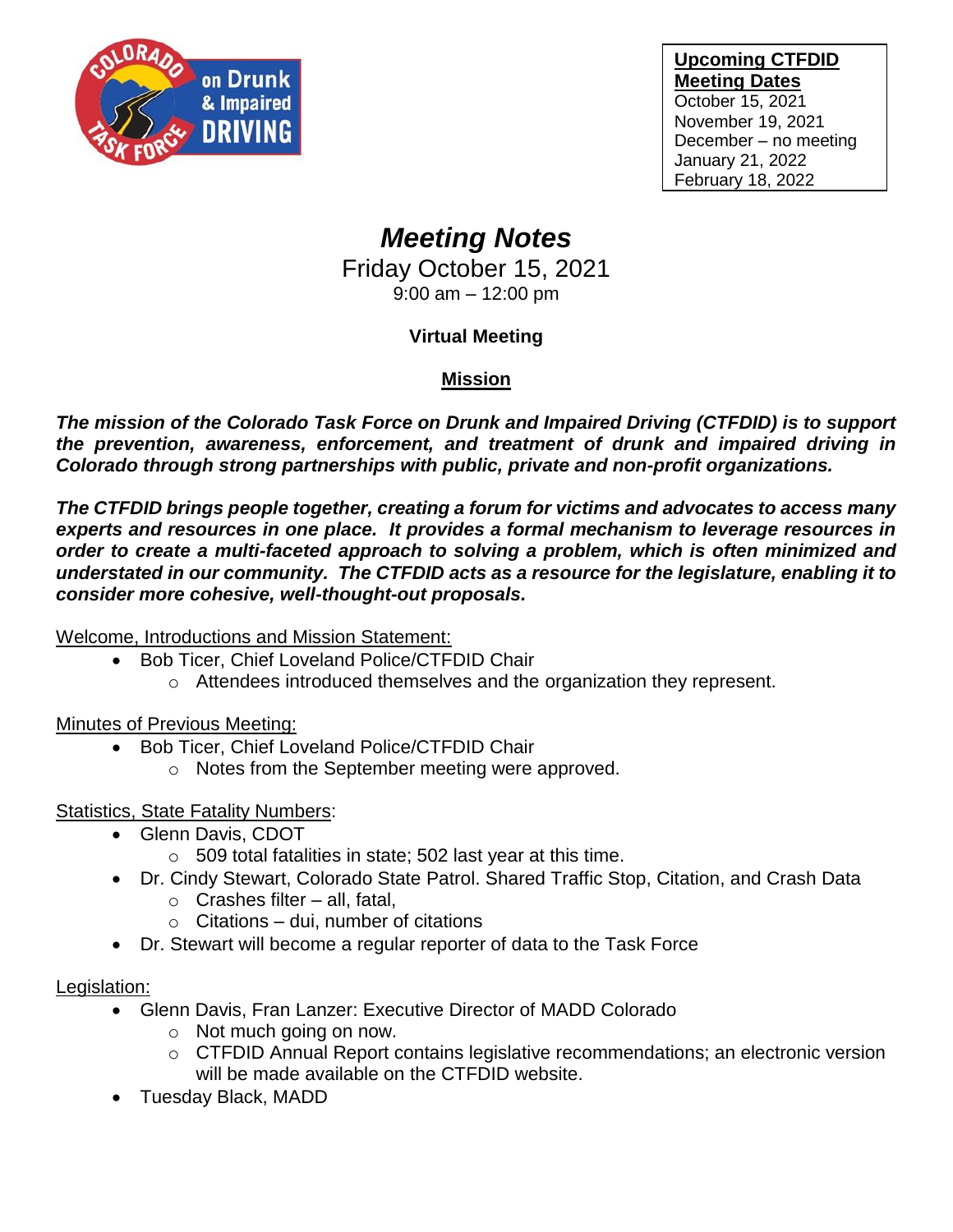

#### **Upcoming CTFDID Meeting Dates**

October 15, 2021 November 19, 2021 December – no meeting January 21, 2022 February 18, 2022

# *Meeting Notes*

Friday October 15, 2021 9:00 am – 12:00 pm

# **Virtual Meeting**

# **Mission**

*The mission of the Colorado Task Force on Drunk and Impaired Driving (CTFDID) is to support the prevention, awareness, enforcement, and treatment of drunk and impaired driving in Colorado through strong partnerships with public, private and non-profit organizations.* 

*The CTFDID brings people together, creating a forum for victims and advocates to access many experts and resources in one place. It provides a formal mechanism to leverage resources in order to create a multi-faceted approach to solving a problem, which is often minimized and understated in our community. The CTFDID acts as a resource for the legislature, enabling it to consider more cohesive, well-thought-out proposals.* 

Welcome, Introductions and Mission Statement:

- Bob Ticer, Chief Loveland Police/CTFDID Chair
	- o Attendees introduced themselves and the organization they represent.

Minutes of Previous Meeting:

- Bob Ticer, Chief Loveland Police/CTFDID Chair
	- o Notes from the September meeting were approved.

#### **Statistics, State Fatality Numbers:**

- Glenn Davis, CDOT
	- $\circ$  509 total fatalities in state; 502 last year at this time.
- Dr. Cindy Stewart, Colorado State Patrol. Shared Traffic Stop, Citation, and Crash Data
	- $\circ$  Crashes filter all, fatal,
	- $\circ$  Citations dui, number of citations
- Dr. Stewart will become a regular reporter of data to the Task Force

#### Legislation:

- Glenn Davis, Fran Lanzer: Executive Director of MADD Colorado
	- o Not much going on now.
	- o CTFDID Annual Report contains legislative recommendations; an electronic version will be made available on the CTFDID website.
- Tuesday Black, MADD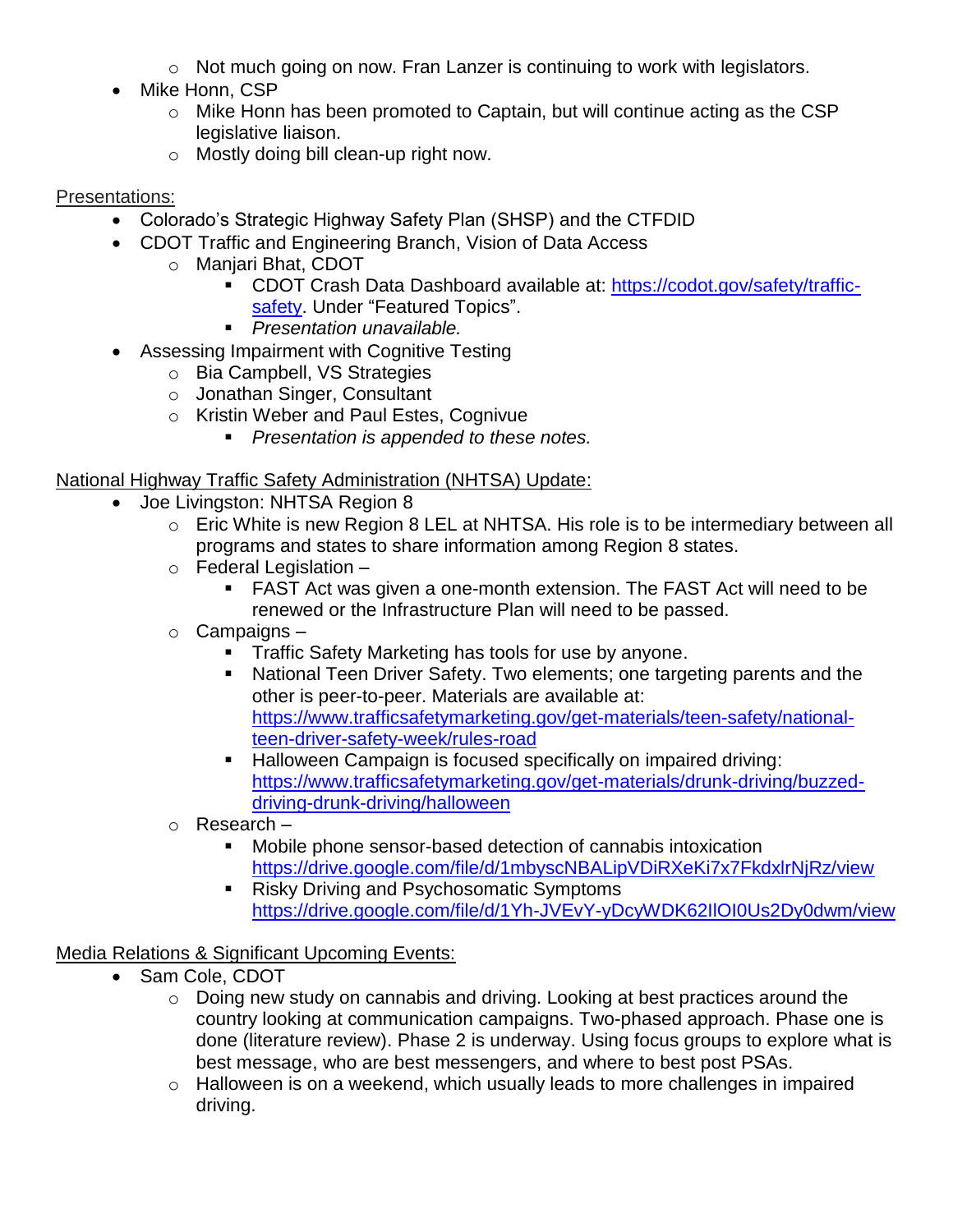- o Not much going on now. Fran Lanzer is continuing to work with legislators.
- Mike Honn, CSP
	- o Mike Honn has been promoted to Captain, but will continue acting as the CSP legislative liaison.
	- o Mostly doing bill clean-up right now.

# Presentations:

- Colorado's Strategic Highway Safety Plan (SHSP) and the CTFDID
- CDOT Traffic and Engineering Branch, Vision of Data Access
	- o Manjari Bhat, CDOT
		- CDOT Crash Data Dashboard available at: [https://codot.gov/safety/traffic](https://codot.gov/safety/traffic-safety)[safety.](https://codot.gov/safety/traffic-safety) Under "Featured Topics".
		- *Presentation unavailable.*
- Assessing Impairment with Cognitive Testing
	- o Bia Campbell, VS Strategies
	- o Jonathan Singer, Consultant
	- o Kristin Weber and Paul Estes, Cognivue
		- *Presentation is appended to these notes.*

# National Highway Traffic Safety Administration (NHTSA) Update:

- Joe Livingston: NHTSA Region 8
	- o Eric White is new Region 8 LEL at NHTSA. His role is to be intermediary between all programs and states to share information among Region 8 states.
	- $\circ$  Federal Legislation
		- FAST Act was given a one-month extension. The FAST Act will need to be renewed or the Infrastructure Plan will need to be passed.
	- o Campaigns
		- **Traffic Safety Marketing has tools for use by anyone.**
		- National Teen Driver Safety. Two elements; one targeting parents and the other is peer-to-peer. Materials are available at: [https://www.trafficsafetymarketing.gov/get-materials/teen-safety/national](https://www.trafficsafetymarketing.gov/get-materials/teen-safety/national-teen-driver-safety-week/rules-road)[teen-driver-safety-week/rules-road](https://www.trafficsafetymarketing.gov/get-materials/teen-safety/national-teen-driver-safety-week/rules-road)
		- Halloween Campaign is focused specifically on impaired driving: [https://www.trafficsafetymarketing.gov/get-materials/drunk-driving/buzzed](https://www.trafficsafetymarketing.gov/get-materials/drunk-driving/buzzed-driving-drunk-driving/halloween)[driving-drunk-driving/halloween](https://www.trafficsafetymarketing.gov/get-materials/drunk-driving/buzzed-driving-drunk-driving/halloween)
	- o Research
		- Mobile phone sensor-based detection of cannabis intoxication <https://drive.google.com/file/d/1mbyscNBALipVDiRXeKi7x7FkdxlrNjRz/view>
		- Risky Driving and Psychosomatic Symptoms <https://drive.google.com/file/d/1Yh-JVEvY-yDcyWDK62IlOI0Us2Dy0dwm/view>

# Media Relations & Significant Upcoming Events:

- Sam Cole, CDOT
	- $\circ$  Doing new study on cannabis and driving. Looking at best practices around the country looking at communication campaigns. Two-phased approach. Phase one is done (literature review). Phase 2 is underway. Using focus groups to explore what is best message, who are best messengers, and where to best post PSAs.
	- o Halloween is on a weekend, which usually leads to more challenges in impaired driving.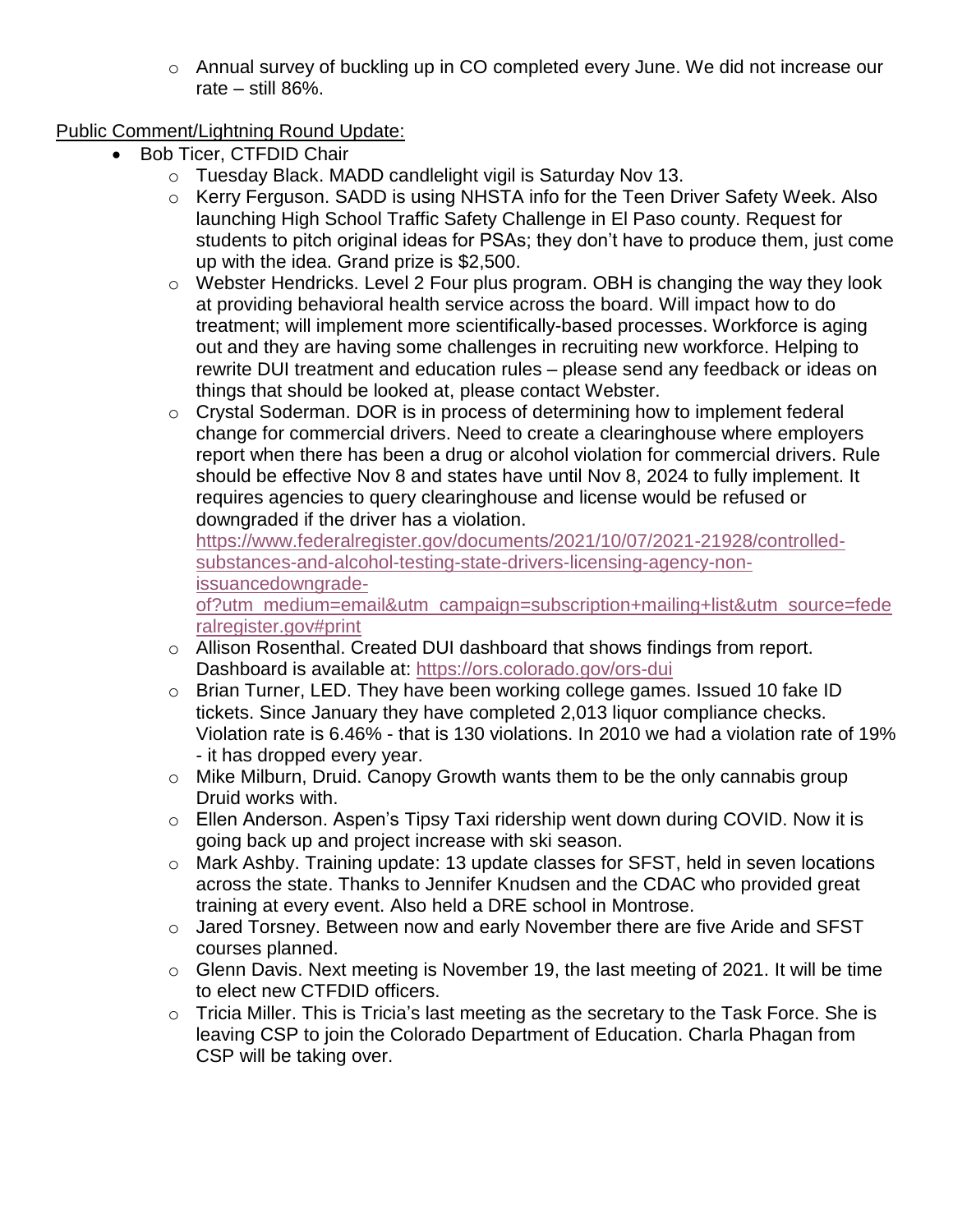o Annual survey of buckling up in CO completed every June. We did not increase our rate – still 86%.

# Public Comment/Lightning Round Update:

- Bob Ticer, CTFDID Chair
	- o Tuesday Black. MADD candlelight vigil is Saturday Nov 13.
	- o Kerry Ferguson. SADD is using NHSTA info for the Teen Driver Safety Week. Also launching High School Traffic Safety Challenge in El Paso county. Request for students to pitch original ideas for PSAs; they don't have to produce them, just come up with the idea. Grand prize is \$2,500.
	- o Webster Hendricks. Level 2 Four plus program. OBH is changing the way they look at providing behavioral health service across the board. Will impact how to do treatment; will implement more scientifically-based processes. Workforce is aging out and they are having some challenges in recruiting new workforce. Helping to rewrite DUI treatment and education rules – please send any feedback or ideas on things that should be looked at, please contact Webster.
	- o Crystal Soderman. DOR is in process of determining how to implement federal change for commercial drivers. Need to create a clearinghouse where employers report when there has been a drug or alcohol violation for commercial drivers. Rule should be effective Nov 8 and states have until Nov 8, 2024 to fully implement. It requires agencies to query clearinghouse and license would be refused or downgraded if the driver has a violation.

[https://www.federalregister.gov/documents/2021/10/07/2021-21928/controlled](https://www.federalregister.gov/documents/2021/10/07/2021-21928/controlled-substances-and-alcohol-testing-state-drivers-licensing-agency-non-issuancedowngrade-of?utm_medium=email&utm_campaign=subscription+mailing+list&utm_source=federalregister.gov#print)[substances-and-alcohol-testing-state-drivers-licensing-agency-non](https://www.federalregister.gov/documents/2021/10/07/2021-21928/controlled-substances-and-alcohol-testing-state-drivers-licensing-agency-non-issuancedowngrade-of?utm_medium=email&utm_campaign=subscription+mailing+list&utm_source=federalregister.gov#print)[issuancedowngrade-](https://www.federalregister.gov/documents/2021/10/07/2021-21928/controlled-substances-and-alcohol-testing-state-drivers-licensing-agency-non-issuancedowngrade-of?utm_medium=email&utm_campaign=subscription+mailing+list&utm_source=federalregister.gov#print)

[of?utm\\_medium=email&utm\\_campaign=subscription+mailing+list&utm\\_source=fede](https://www.federalregister.gov/documents/2021/10/07/2021-21928/controlled-substances-and-alcohol-testing-state-drivers-licensing-agency-non-issuancedowngrade-of?utm_medium=email&utm_campaign=subscription+mailing+list&utm_source=federalregister.gov#print) [ralregister.gov#print](https://www.federalregister.gov/documents/2021/10/07/2021-21928/controlled-substances-and-alcohol-testing-state-drivers-licensing-agency-non-issuancedowngrade-of?utm_medium=email&utm_campaign=subscription+mailing+list&utm_source=federalregister.gov#print)

- o Allison Rosenthal. Created DUI dashboard that shows findings from report. Dashboard is available at:<https://ors.colorado.gov/ors-dui>
- o Brian Turner, LED. They have been working college games. Issued 10 fake ID tickets. Since January they have completed 2,013 liquor compliance checks. Violation rate is 6.46% - that is 130 violations. In 2010 we had a violation rate of 19% - it has dropped every year.
- o Mike Milburn, Druid. Canopy Growth wants them to be the only cannabis group Druid works with.
- o Ellen Anderson. Aspen's Tipsy Taxi ridership went down during COVID. Now it is going back up and project increase with ski season.
- o Mark Ashby. Training update: 13 update classes for SFST, held in seven locations across the state. Thanks to Jennifer Knudsen and the CDAC who provided great training at every event. Also held a DRE school in Montrose.
- o Jared Torsney. Between now and early November there are five Aride and SFST courses planned.
- o Glenn Davis. Next meeting is November 19, the last meeting of 2021. It will be time to elect new CTFDID officers.
- $\circ$  Tricia Miller. This is Tricia's last meeting as the secretary to the Task Force. She is leaving CSP to join the Colorado Department of Education. Charla Phagan from CSP will be taking over.